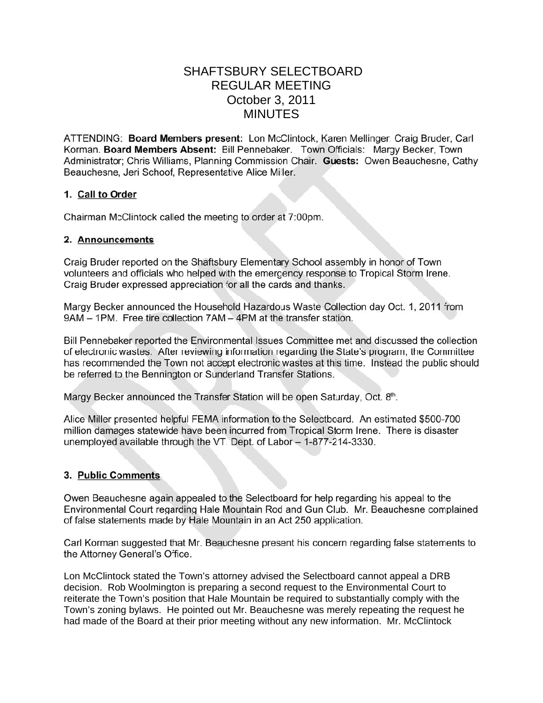# **SHAFTSBURY SELECTBOARD REGULAR MEETING** October 3, 2011 **MINUTES**

ATTENDING: Board Members present: Lon McClintock, Karen Mellinger, Craig Bruder, Carl Korman. Board Members Absent: Bill Pennebaker. Town Officials: Margy Becker, Town Administrator; Chris Williams, Planning Commission Chair. Guests: Owen Beauchesne, Cathy Beauchesne, Jeri Schoof, Representative Alice Miller.

#### 1. Call to Order

Chairman McClintock called the meeting to order at 7:00pm.

#### 2. Announcements

Craig Bruder reported on the Shaftsbury Elementary School assembly in honor of Town volunteers and officials who helped with the emergency response to Tropical Storm Irene. Craig Bruder expressed appreciation for all the cards and thanks.

Margy Becker announced the Household Hazardous Waste Collection day Oct. 1, 2011 from 9AM - 1PM. Free tire collection 7AM - 4PM at the transfer station.

Bill Pennebaker reported the Environmental Issues Committee met and discussed the collection of electronic wastes. After reviewing information regarding the State's program, the Committee has recommended the Town not accept electronic wastes at this time. Instead the public should be referred to the Bennington or Sunderland Transfer Stations.

Margy Becker announced the Transfer Station will be open Saturday, Oct. 8th.

Alice Miller presented helpful FEMA information to the Selectboard. An estimated \$500-700 million damages statewide have been incurred from Tropical Storm Irene. There is disaster unemployed available through the VT. Dept. of Labor - 1-877-214-3330.

### 3. Public Comments

Owen Beauchesne again appealed to the Selectboard for help regarding his appeal to the Environmental Court regarding Hale Mountain Rod and Gun Club. Mr. Beauchesne complained of false statements made by Hale Mountain in an Act 250 application.

Carl Korman suggested that Mr. Beauchesne present his concern regarding false statements to the Attorney General's Office.

Lon McClintock stated the Town's attorney advised the Selectboard cannot appeal a DRB decision. Rob Woolmington is preparing a second request to the Environmental Court to reiterate the Town's position that Hale Mountain be required to substantially comply with the Town's zoning bylaws. He pointed out Mr. Beauchesne was merely repeating the request he had made of the Board at their prior meeting without any new information. Mr. McClintock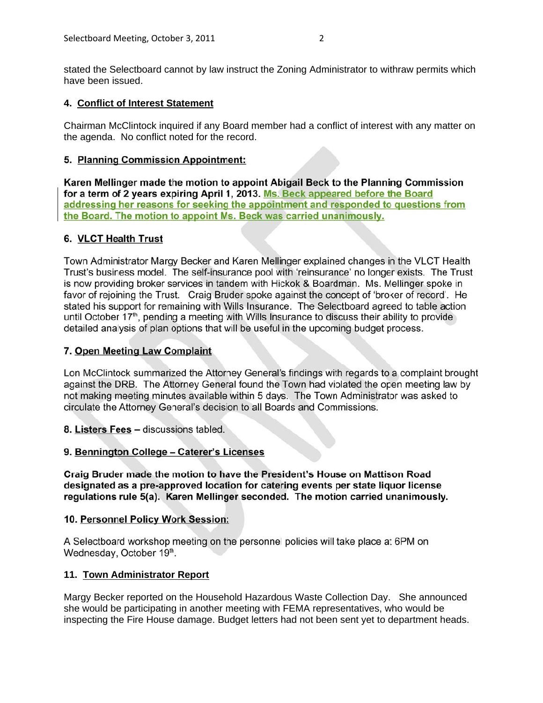stated the Selectboard cannot by law instruct the Zoning Administrator to withraw permits which have been issued.

### **4. Conflict of Interest Statement**

Chairman McClintock inquired if any Board member had a conflict of interest with any matter on the agenda. No conflict noted for the record.

# 5. Planning Commission Appointment:

Karen Mellinger made the motion to appoint Abigail Beck to the Planning Commission for a term of 2 years expiring April 1, 2013. Ms. Beck appeared before the Board addressing her reasons for seeking the appointment and responded to questions from the Board. The motion to appoint Ms. Beck was carried unanimously.

### 6. VLCT Health Trust

Town Administrator Margy Becker and Karen Mellinger explained changes in the VLCT Health Trust's business model. The self-insurance pool with 'reinsurance' no longer exists. The Trust is now providing broker services in tandem with Hickok & Boardman. Ms. Mellinger spoke in favor of rejoining the Trust. Craig Bruder spoke against the concept of 'broker of record'. He stated his support for remaining with Wills Insurance. The Selectboard agreed to table action until October 17<sup>th</sup>, pending a meeting with Wills Insurance to discuss their ability to provide detailed analysis of plan options that will be useful in the upcoming budget process.

# 7. Open Meeting Law Complaint

Lon McClintock summarized the Attorney General's findings with regards to a complaint brought against the DRB. The Attorney General found the Town had violated the open meeting law by not making meeting minutes available within 5 days. The Town Administrator was asked to circulate the Attorney General's decision to all Boards and Commissions.

8. Listers Fees - discussions tabled.

# 9. Bennington College - Caterer's Licenses

Craig Bruder made the motion to have the President's House on Mattison Road designated as a pre-approved location for catering events per state liquor license regulations rule 5(a). Karen Mellinger seconded. The motion carried unanimously.

### 10. Personnel Policy Work Session:

A Selectboard workshop meeting on the personnel policies will take place at 6PM on Wednesday, October 19th.

### **11. Town Administrator Report**

Margy Becker reported on the Household Hazardous Waste Collection Day. She announced she would be participating in another meeting with FEMA representatives, who would be inspecting the Fire House damage. Budget letters had not been sent yet to department heads.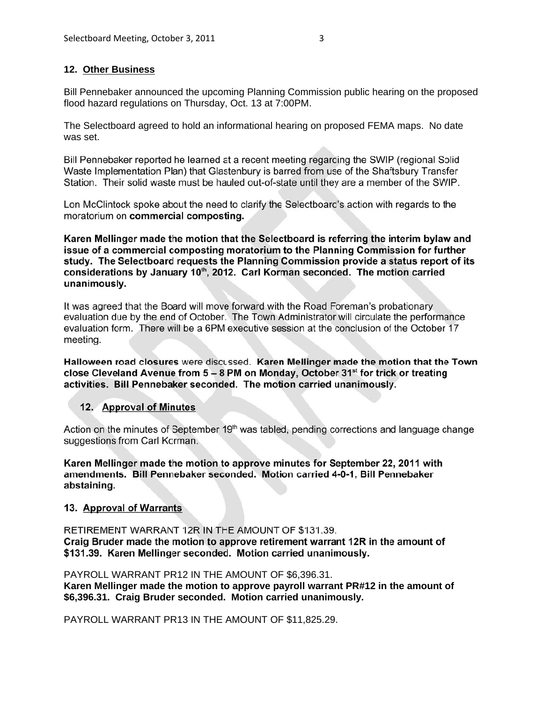### **12. Other Business**

Bill Pennebaker announced the upcoming Planning Commission public hearing on the proposed flood hazard regulations on Thursday, Oct. 13 at 7:00PM.

The Selectboard agreed to hold an informational hearing on proposed FEMA maps. No date was set.

Bill Pennebaker reported he learned at a recent meeting regarding the SWIP (regional Solid Waste Implementation Plan) that Glastenbury is barred from use of the Shaftsbury Transfer Station. Their solid waste must be hauled out-of-state until they are a member of the SWIP.

Lon McClintock spoke about the need to clarify the Selectboard's action with regards to the moratorium on commercial composting.

Karen Mellinger made the motion that the Selectboard is referring the interim bylaw and issue of a commercial composting moratorium to the Planning Commission for further study. The Selectboard requests the Planning Commission provide a status report of its considerations by January 10<sup>th</sup>, 2012. Carl Korman seconded. The motion carried unanimously.

It was agreed that the Board will move forward with the Road Foreman's probationary evaluation due by the end of October. The Town Administrator will circulate the performance evaluation form. There will be a 6PM executive session at the conclusion of the October 17 meeting.

Halloween road closures were discussed. Karen Mellinger made the motion that the Town close Cleveland Avenue from  $5 - 8$  PM on Monday. October 31<sup>st</sup> for trick or treating activities. Bill Pennebaker seconded. The motion carried unanimously.

### 12. Approval of Minutes

Action on the minutes of September 19<sup>th</sup> was tabled, pending corrections and language change suggestions from Carl Korman.

Karen Mellinger made the motion to approve minutes for September 22, 2011 with amendments. Bill Pennebaker seconded. Motion carried 4-0-1, Bill Pennebaker abstaining.

### 13. Approval of Warrants

RETIREMENT WARRANT 12R IN THE AMOUNT OF \$131.39. Craig Bruder made the motion to approve retirement warrant 12R in the amount of \$131.39. Karen Mellinger seconded. Motion carried unanimously.

PAYROLL WARRANT PR12 IN THE AMOUNT OF \$6,396.31.

**Karen Mellinger made the motion to approve payroll warrant PR#12 in the amount of \$6,396.31. Craig Bruder seconded. Motion carried unanimously.**

PAYROLL WARRANT PR13 IN THE AMOUNT OF \$11,825.29.